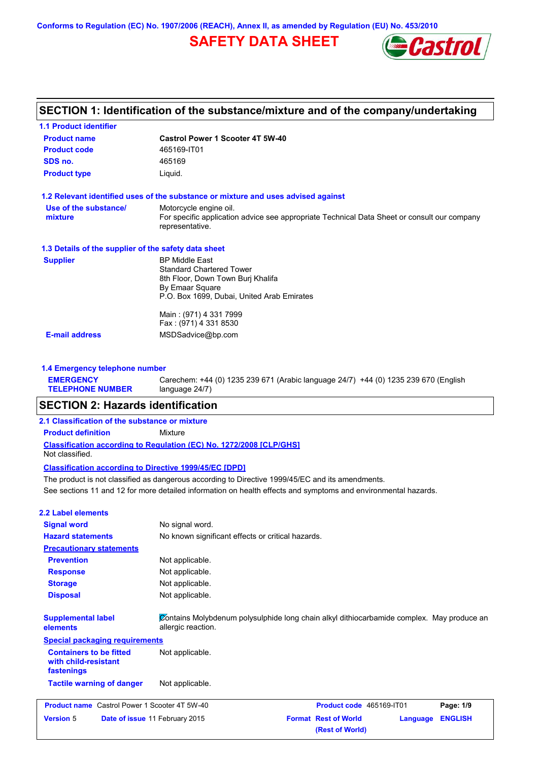**Conforms to Regulation (EC) No. 1907/2006 (REACH), Annex II, as amended by Regulation (EU) No. 453/2010**

# **SAFETY DATA SHEET**



|                                                      | SECTION 1: Identification of the substance/mixture and of the company/undertaking                              |
|------------------------------------------------------|----------------------------------------------------------------------------------------------------------------|
| <b>1.1 Product identifier</b>                        |                                                                                                                |
| <b>Product name</b>                                  | <b>Castrol Power 1 Scooter 4T 5W-40</b>                                                                        |
| <b>Product code</b>                                  | 465169-IT01                                                                                                    |
| SDS no.                                              | 465169                                                                                                         |
| <b>Product type</b>                                  | Liquid.                                                                                                        |
|                                                      | 1.2 Relevant identified uses of the substance or mixture and uses advised against                              |
| Use of the substance/                                | Motorcycle engine oil.                                                                                         |
| mixture                                              | For specific application advice see appropriate Technical Data Sheet or consult our company<br>representative. |
| 1.3 Details of the supplier of the safety data sheet |                                                                                                                |
| <b>Supplier</b>                                      | <b>BP Middle East</b>                                                                                          |
|                                                      | <b>Standard Chartered Tower</b><br>8th Floor, Down Town Burj Khalifa                                           |
|                                                      | By Emaar Square                                                                                                |
|                                                      | P.O. Box 1699. Dubai. United Arab Emirates                                                                     |
|                                                      | Main: (971) 4 331 7999                                                                                         |
|                                                      | Fax: (971) 4 331 8530                                                                                          |
| <b>E-mail address</b>                                | MSDSadvice@bp.com                                                                                              |
|                                                      |                                                                                                                |
| 1.4 Emergency telephone number                       |                                                                                                                |
| <b>EMERGENCY</b>                                     | Carechem: +44 (0) 1235 239 671 (Arabic language 24/7) +44 (0) 1235 239 670 (English                            |

| <b>SECTION 2: Hazards identification</b> |                |  |
|------------------------------------------|----------------|--|
| <b>TELEPHONE NUMBER</b>                  | language 24/7) |  |

#### **2.1 Classification of the substance or mixture**

**Product definition** Mixture

**Classification according to Regulation (EC) No. 1272/2008 [CLP/GHS]** Not classified.

#### **Classification according to Directive 1999/45/EC [DPD]**

See sections 11 and 12 for more detailed information on health effects and symptoms and environmental hazards. The product is not classified as dangerous according to Directive 1999/45/EC and its amendments.

## **2.2 Label elements**

| <b>Signal word</b>                                                   | No signal word.                                                                                                 |                                                |          |                |
|----------------------------------------------------------------------|-----------------------------------------------------------------------------------------------------------------|------------------------------------------------|----------|----------------|
| <b>Hazard statements</b>                                             | No known significant effects or critical hazards.                                                               |                                                |          |                |
| <b>Precautionary statements</b>                                      |                                                                                                                 |                                                |          |                |
| <b>Prevention</b>                                                    | Not applicable.                                                                                                 |                                                |          |                |
| <b>Response</b>                                                      | Not applicable.                                                                                                 |                                                |          |                |
| <b>Storage</b>                                                       | Not applicable.                                                                                                 |                                                |          |                |
| <b>Disposal</b>                                                      | Not applicable.                                                                                                 |                                                |          |                |
| <b>Supplemental label</b><br>elements                                | Contains Molybdenum polysulphide long chain alkyl dithiocarbamide complex. May produce an<br>allergic reaction. |                                                |          |                |
| <b>Special packaging requirements</b>                                |                                                                                                                 |                                                |          |                |
| <b>Containers to be fitted</b><br>with child-resistant<br>fastenings | Not applicable.                                                                                                 |                                                |          |                |
| <b>Tactile warning of danger</b>                                     | Not applicable.                                                                                                 |                                                |          |                |
| <b>Product name</b> Castrol Power 1 Scooter 4T 5W-40                 |                                                                                                                 | Product code 465169-IT01                       |          | Page: 1/9      |
| <b>Version 5</b>                                                     | Date of issue 11 February 2015                                                                                  | <b>Format Rest of World</b><br>(Rest of World) | Language | <b>ENGLISH</b> |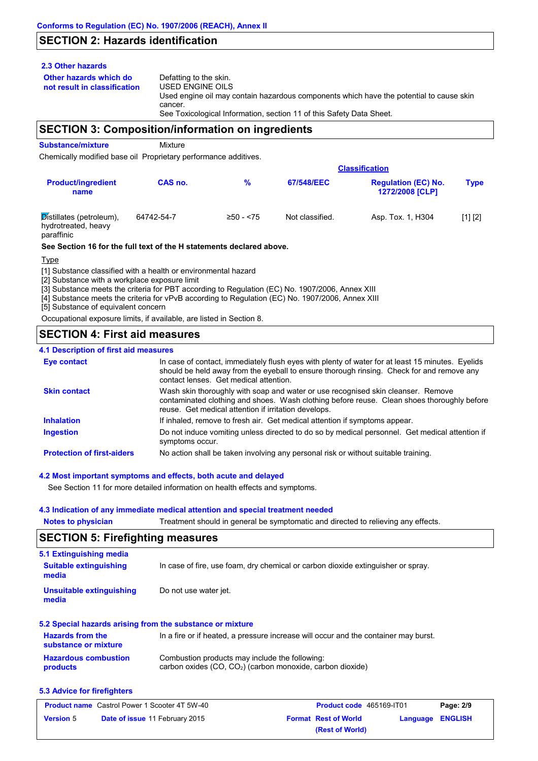# **SECTION 2: Hazards identification**

#### **2.3 Other hazards**

**Other hazards which do** 

**not result in classification** Defatting to the skin. USED ENGINE OILS Used engine oil may contain hazardous components which have the potential to cause skin cancer. See Toxicological Information, section 11 of this Safety Data Sheet.

## **SECTION 3: Composition/information on ingredients**

**Substance/mixture** Mixture

Chemically modified base oil Proprietary performance additives.

|                                                               |            | <b>Classification</b> |                 |                                                      |             |  |
|---------------------------------------------------------------|------------|-----------------------|-----------------|------------------------------------------------------|-------------|--|
| <b>Product/ingredient</b><br>name                             | CAS no.    | %                     | 67/548/EEC      | <b>Regulation (EC) No.</b><br><b>1272/2008 [CLP]</b> | <b>Type</b> |  |
| Distillates (petroleum),<br>hydrotreated, heavy<br>paraffinic | 64742-54-7 | $≥50 - 575$           | Not classified. | Asp. Tox. 1, H304                                    | [1] [2]     |  |

#### **See Section 16 for the full text of the H statements declared above.**

Type

[1] Substance classified with a health or environmental hazard

[2] Substance with a workplace exposure limit

[3] Substance meets the criteria for PBT according to Regulation (EC) No. 1907/2006, Annex XIII

[4] Substance meets the criteria for vPvB according to Regulation (EC) No. 1907/2006, Annex XIII

[5] Substance of equivalent concern

Occupational exposure limits, if available, are listed in Section 8.

# **SECTION 4: First aid measures**

#### **4.1 Description of first aid measures**

| <b>Eye contact</b>                | In case of contact, immediately flush eyes with plenty of water for at least 15 minutes. Eyelids<br>should be held away from the eyeball to ensure thorough rinsing. Check for and remove any<br>contact lenses. Get medical attention. |
|-----------------------------------|-----------------------------------------------------------------------------------------------------------------------------------------------------------------------------------------------------------------------------------------|
| <b>Skin contact</b>               | Wash skin thoroughly with soap and water or use recognised skin cleanser. Remove<br>contaminated clothing and shoes. Wash clothing before reuse. Clean shoes thoroughly before<br>reuse. Get medical attention if irritation develops.  |
| <b>Inhalation</b>                 | If inhaled, remove to fresh air. Get medical attention if symptoms appear.                                                                                                                                                              |
| <b>Ingestion</b>                  | Do not induce vomiting unless directed to do so by medical personnel. Get medical attention if<br>symptoms occur.                                                                                                                       |
| <b>Protection of first-aiders</b> | No action shall be taken involving any personal risk or without suitable training.                                                                                                                                                      |

#### **4.2 Most important symptoms and effects, both acute and delayed**

See Section 11 for more detailed information on health effects and symptoms.

#### **4.3 Indication of any immediate medical attention and special treatment needed**

**Notes to physician** Treatment should in general be symptomatic and directed to relieving any effects.

# **SECTION 5: Firefighting measures**

| 5.1 Extinguishing media                         |                                                                                     |
|-------------------------------------------------|-------------------------------------------------------------------------------------|
| <b>Suitable extinguishing</b><br>media          | In case of fire, use foam, dry chemical or carbon dioxide extinguisher or spray.    |
| Unsuitable extinguishing<br>media               | Do not use water jet.                                                               |
|                                                 | 5.2 Special hazards arising from the substance or mixture                           |
| <b>Hazards from the</b><br>substance or mixture | In a fire or if heated, a pressure increase will occur and the container may burst. |

#### **Hazardous combustion products** Combustion products may include the following: carbon oxides (CO, CO2) (carbon monoxide, carbon dioxide)

#### **5.3 Advice for firefighters**

| <b>Product name</b> Castrol Power 1 Scooter 4T 5W-40 |                                       |                             | Product code 465169-IT01 |                  | Page: 2/9 |
|------------------------------------------------------|---------------------------------------|-----------------------------|--------------------------|------------------|-----------|
| <b>Version 5</b>                                     | <b>Date of issue 11 February 2015</b> | <b>Format Rest of World</b> |                          | Language ENGLISH |           |
|                                                      |                                       |                             | (Rest of World)          |                  |           |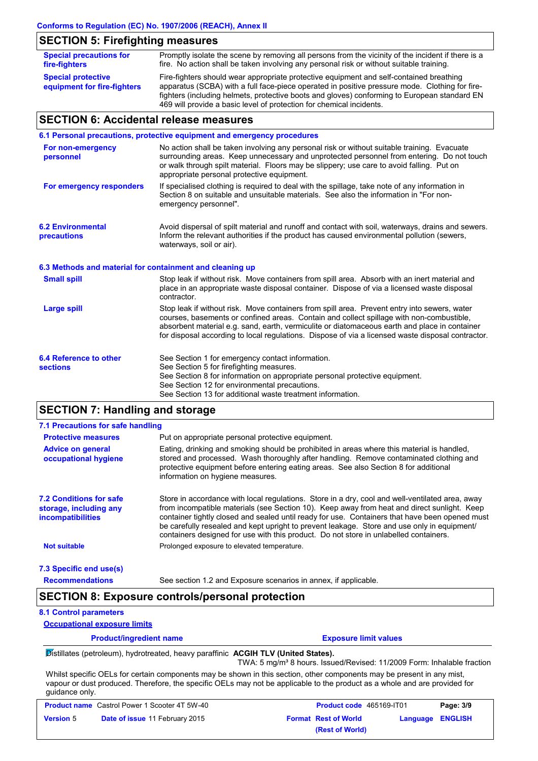# **SECTION 5: Firefighting measures**

| <b>Special precautions for</b><br>fire-fighters          | Promptly isolate the scene by removing all persons from the vicinity of the incident if there is a<br>fire. No action shall be taken involving any personal risk or without suitable training.                                                                                            |
|----------------------------------------------------------|-------------------------------------------------------------------------------------------------------------------------------------------------------------------------------------------------------------------------------------------------------------------------------------------|
| <b>Special protective</b><br>equipment for fire-fighters | Fire-fighters should wear appropriate protective equipment and self-contained breathing<br>apparatus (SCBA) with a full face-piece operated in positive pressure mode. Clothing for fire-<br>fighters (including helmets, protective boots and gloves) conforming to European standard EN |
|                                                          | 469 will provide a basic level of protection for chemical incidents.                                                                                                                                                                                                                      |

# **SECTION 6: Accidental release measures**

|                                                          | 6.1 Personal precautions, protective equipment and emergency procedures                                                                                                                                                                                                                                                                                                                        |
|----------------------------------------------------------|------------------------------------------------------------------------------------------------------------------------------------------------------------------------------------------------------------------------------------------------------------------------------------------------------------------------------------------------------------------------------------------------|
| For non-emergency<br>personnel                           | No action shall be taken involving any personal risk or without suitable training. Evacuate<br>surrounding areas. Keep unnecessary and unprotected personnel from entering. Do not touch<br>or walk through spilt material. Floors may be slippery; use care to avoid falling. Put on<br>appropriate personal protective equipment.                                                            |
| For emergency responders                                 | If specialised clothing is required to deal with the spillage, take note of any information in<br>Section 8 on suitable and unsuitable materials. See also the information in "For non-<br>emergency personnel".                                                                                                                                                                               |
| <b>6.2 Environmental</b><br>precautions                  | Avoid dispersal of spilt material and runoff and contact with soil, waterways, drains and sewers.<br>Inform the relevant authorities if the product has caused environmental pollution (sewers,<br>waterways, soil or air).                                                                                                                                                                    |
| 6.3 Methods and material for containment and cleaning up |                                                                                                                                                                                                                                                                                                                                                                                                |
| <b>Small spill</b>                                       | Stop leak if without risk. Move containers from spill area. Absorb with an inert material and<br>place in an appropriate waste disposal container. Dispose of via a licensed waste disposal<br>contractor.                                                                                                                                                                                     |
| <b>Large spill</b>                                       | Stop leak if without risk. Move containers from spill area. Prevent entry into sewers, water<br>courses, basements or confined areas. Contain and collect spillage with non-combustible,<br>absorbent material e.g. sand, earth, vermiculite or diatomaceous earth and place in container<br>for disposal according to local regulations. Dispose of via a licensed waste disposal contractor. |
| 6.4 Reference to other<br><b>sections</b>                | See Section 1 for emergency contact information.<br>See Section 5 for firefighting measures.<br>See Section 8 for information on appropriate personal protective equipment.<br>See Section 12 for environmental precautions.<br>See Section 13 for additional waste treatment information.                                                                                                     |

# **SECTION 7: Handling and storage**

| 7.1 Precautions for safe handling                                                    |                                                                                                                                                                                                                                                                                                                                                                                                                                                                                          |
|--------------------------------------------------------------------------------------|------------------------------------------------------------------------------------------------------------------------------------------------------------------------------------------------------------------------------------------------------------------------------------------------------------------------------------------------------------------------------------------------------------------------------------------------------------------------------------------|
| <b>Protective measures</b>                                                           | Put on appropriate personal protective equipment.                                                                                                                                                                                                                                                                                                                                                                                                                                        |
| <b>Advice on general</b><br>occupational hygiene                                     | Eating, drinking and smoking should be prohibited in areas where this material is handled.<br>stored and processed. Wash thoroughly after handling. Remove contaminated clothing and<br>protective equipment before entering eating areas. See also Section 8 for additional<br>information on hygiene measures.                                                                                                                                                                         |
| <b>7.2 Conditions for safe</b><br>storage, including any<br><i>incompatibilities</i> | Store in accordance with local regulations. Store in a dry, cool and well-ventilated area, away<br>from incompatible materials (see Section 10). Keep away from heat and direct sunlight. Keep<br>container tightly closed and sealed until ready for use. Containers that have been opened must<br>be carefully resealed and kept upright to prevent leakage. Store and use only in equipment/<br>containers designed for use with this product. Do not store in unlabelled containers. |
| <b>Not suitable</b>                                                                  | Prolonged exposure to elevated temperature.                                                                                                                                                                                                                                                                                                                                                                                                                                              |
| 7.3 Specific end use(s)                                                              |                                                                                                                                                                                                                                                                                                                                                                                                                                                                                          |

**Recommendations**

#### See section 1.2 and Exposure scenarios in annex, if applicable.

# **SECTION 8: Exposure controls/personal protection**

#### **8.1 Control parameters**

**Occupational exposure limits**

**Product/ingredient name Exposure limit values** 

Distillates (petroleum), hydrotreated, heavy paraffinic **ACGIH TLV (United States).**

TWA: 5 mg/m<sup>3</sup> 8 hours. Issued/Revised: 11/2009 Form: Inhalable fraction Whilst specific OELs for certain components may be shown in this section, other components may be present in any mist,

vapour or dust produced. Therefore, the specific OELs may not be applicable to the product as a whole and are provided for guidance only.

| <b>Product name</b> Castrol Power 1 Scooter 4T 5W-40 |                                       | <b>Product code</b> 465169-IT01 | Page: 3/9        |
|------------------------------------------------------|---------------------------------------|---------------------------------|------------------|
| <b>Version 5</b>                                     | <b>Date of issue 11 February 2015</b> | <b>Format Rest of World</b>     | Language ENGLISH |
|                                                      |                                       | (Rest of World)                 |                  |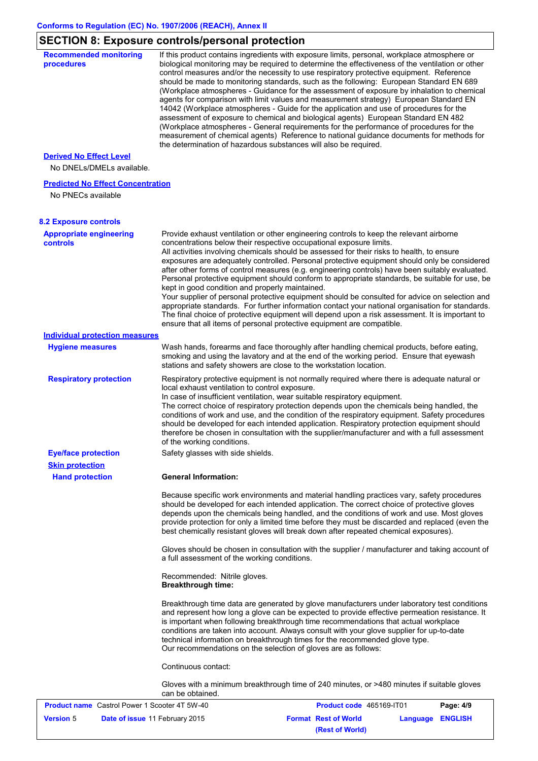# **SECTION 8: Exposure controls/personal protection**

| <b>Recommended monitoring</b><br>procedures                    | If this product contains ingredients with exposure limits, personal, workplace atmosphere or<br>biological monitoring may be required to determine the effectiveness of the ventilation or other                                                                                                                                                                                                                                                                                                                                                                                                                                                                                                                                                                                                                                                                                                             |                             |                 |                |
|----------------------------------------------------------------|--------------------------------------------------------------------------------------------------------------------------------------------------------------------------------------------------------------------------------------------------------------------------------------------------------------------------------------------------------------------------------------------------------------------------------------------------------------------------------------------------------------------------------------------------------------------------------------------------------------------------------------------------------------------------------------------------------------------------------------------------------------------------------------------------------------------------------------------------------------------------------------------------------------|-----------------------------|-----------------|----------------|
|                                                                | control measures and/or the necessity to use respiratory protective equipment. Reference<br>should be made to monitoring standards, such as the following: European Standard EN 689<br>(Workplace atmospheres - Guidance for the assessment of exposure by inhalation to chemical<br>agents for comparison with limit values and measurement strategy) European Standard EN<br>14042 (Workplace atmospheres - Guide for the application and use of procedures for the<br>assessment of exposure to chemical and biological agents) European Standard EN 482<br>(Workplace atmospheres - General requirements for the performance of procedures for the<br>measurement of chemical agents) Reference to national guidance documents for methods for<br>the determination of hazardous substances will also be required.                                                                                       |                             |                 |                |
| <b>Derived No Effect Level</b>                                 |                                                                                                                                                                                                                                                                                                                                                                                                                                                                                                                                                                                                                                                                                                                                                                                                                                                                                                              |                             |                 |                |
| No DNELs/DMELs available.                                      |                                                                                                                                                                                                                                                                                                                                                                                                                                                                                                                                                                                                                                                                                                                                                                                                                                                                                                              |                             |                 |                |
| <b>Predicted No Effect Concentration</b><br>No PNECs available |                                                                                                                                                                                                                                                                                                                                                                                                                                                                                                                                                                                                                                                                                                                                                                                                                                                                                                              |                             |                 |                |
| <b>8.2 Exposure controls</b>                                   |                                                                                                                                                                                                                                                                                                                                                                                                                                                                                                                                                                                                                                                                                                                                                                                                                                                                                                              |                             |                 |                |
| <b>Appropriate engineering</b>                                 | Provide exhaust ventilation or other engineering controls to keep the relevant airborne                                                                                                                                                                                                                                                                                                                                                                                                                                                                                                                                                                                                                                                                                                                                                                                                                      |                             |                 |                |
| <b>controls</b>                                                | concentrations below their respective occupational exposure limits.<br>All activities involving chemicals should be assessed for their risks to health, to ensure<br>exposures are adequately controlled. Personal protective equipment should only be considered<br>after other forms of control measures (e.g. engineering controls) have been suitably evaluated.<br>Personal protective equipment should conform to appropriate standards, be suitable for use, be<br>kept in good condition and properly maintained.<br>Your supplier of personal protective equipment should be consulted for advice on selection and<br>appropriate standards. For further information contact your national organisation for standards.<br>The final choice of protective equipment will depend upon a risk assessment. It is important to<br>ensure that all items of personal protective equipment are compatible. |                             |                 |                |
| <b>Individual protection measures</b>                          |                                                                                                                                                                                                                                                                                                                                                                                                                                                                                                                                                                                                                                                                                                                                                                                                                                                                                                              |                             |                 |                |
| <b>Hygiene measures</b>                                        | Wash hands, forearms and face thoroughly after handling chemical products, before eating,<br>smoking and using the lavatory and at the end of the working period. Ensure that eyewash<br>stations and safety showers are close to the workstation location.                                                                                                                                                                                                                                                                                                                                                                                                                                                                                                                                                                                                                                                  |                             |                 |                |
| <b>Respiratory protection</b>                                  | Respiratory protective equipment is not normally required where there is adequate natural or<br>local exhaust ventilation to control exposure.<br>In case of insufficient ventilation, wear suitable respiratory equipment.<br>The correct choice of respiratory protection depends upon the chemicals being handled, the<br>conditions of work and use, and the condition of the respiratory equipment. Safety procedures<br>should be developed for each intended application. Respiratory protection equipment should<br>therefore be chosen in consultation with the supplier/manufacturer and with a full assessment<br>of the working conditions.                                                                                                                                                                                                                                                      |                             |                 |                |
| <b>Eye/face protection</b><br><b>Skin protection</b>           | Safety glasses with side shields.                                                                                                                                                                                                                                                                                                                                                                                                                                                                                                                                                                                                                                                                                                                                                                                                                                                                            |                             |                 |                |
| <b>Hand protection</b>                                         | <b>General Information:</b>                                                                                                                                                                                                                                                                                                                                                                                                                                                                                                                                                                                                                                                                                                                                                                                                                                                                                  |                             |                 |                |
|                                                                | Because specific work environments and material handling practices vary, safety procedures<br>should be developed for each intended application. The correct choice of protective gloves<br>depends upon the chemicals being handled, and the conditions of work and use. Most gloves<br>provide protection for only a limited time before they must be discarded and replaced (even the<br>best chemically resistant gloves will break down after repeated chemical exposures).                                                                                                                                                                                                                                                                                                                                                                                                                             |                             |                 |                |
|                                                                | Gloves should be chosen in consultation with the supplier / manufacturer and taking account of<br>a full assessment of the working conditions.                                                                                                                                                                                                                                                                                                                                                                                                                                                                                                                                                                                                                                                                                                                                                               |                             |                 |                |
|                                                                | Recommended: Nitrile gloves.<br><b>Breakthrough time:</b>                                                                                                                                                                                                                                                                                                                                                                                                                                                                                                                                                                                                                                                                                                                                                                                                                                                    |                             |                 |                |
|                                                                | Breakthrough time data are generated by glove manufacturers under laboratory test conditions<br>and represent how long a glove can be expected to provide effective permeation resistance. It<br>is important when following breakthrough time recommendations that actual workplace<br>conditions are taken into account. Always consult with your glove supplier for up-to-date<br>technical information on breakthrough times for the recommended glove type.<br>Our recommendations on the selection of gloves are as follows:                                                                                                                                                                                                                                                                                                                                                                           |                             |                 |                |
|                                                                | Continuous contact:                                                                                                                                                                                                                                                                                                                                                                                                                                                                                                                                                                                                                                                                                                                                                                                                                                                                                          |                             |                 |                |
|                                                                | Gloves with a minimum breakthrough time of 240 minutes, or >480 minutes if suitable gloves<br>can be obtained.                                                                                                                                                                                                                                                                                                                                                                                                                                                                                                                                                                                                                                                                                                                                                                                               |                             |                 |                |
| <b>Product name</b> Castrol Power 1 Scooter 4T 5W-40           |                                                                                                                                                                                                                                                                                                                                                                                                                                                                                                                                                                                                                                                                                                                                                                                                                                                                                                              | Product code 465169-IT01    |                 | Page: 4/9      |
| <b>Version 5</b><br>Date of issue 11 February 2015             |                                                                                                                                                                                                                                                                                                                                                                                                                                                                                                                                                                                                                                                                                                                                                                                                                                                                                                              | <b>Format Rest of World</b> | <b>Language</b> | <b>ENGLISH</b> |

**(Rest of World)**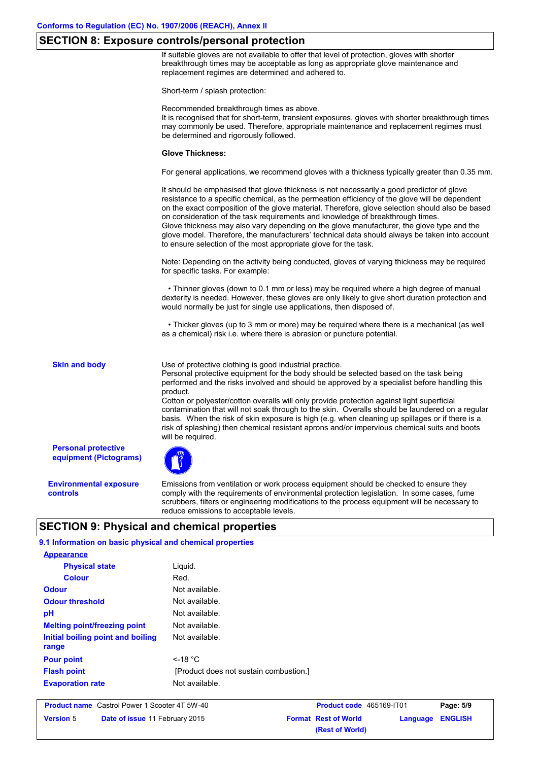## **SECTION 8: Exposure controls/personal protection**

If suitable gloves are not available to offer that level of protection, gloves with shorter breakthrough times may be acceptable as long as appropriate glove maintenance and replacement regimes are determined and adhered to.

Short-term / splash protection:

Recommended breakthrough times as above.

It is recognised that for short-term, transient exposures, gloves with shorter breakthrough times may commonly be used. Therefore, appropriate maintenance and replacement regimes must be determined and rigorously followed.

#### **Glove Thickness:**

For general applications, we recommend gloves with a thickness typically greater than 0.35 mm.

It should be emphasised that glove thickness is not necessarily a good predictor of glove resistance to a specific chemical, as the permeation efficiency of the glove will be dependent on the exact composition of the glove material. Therefore, glove selection should also be based on consideration of the task requirements and knowledge of breakthrough times. Glove thickness may also vary depending on the glove manufacturer, the glove type and the glove model. Therefore, the manufacturers' technical data should always be taken into account to ensure selection of the most appropriate glove for the task.

Note: Depending on the activity being conducted, gloves of varying thickness may be required for specific tasks. For example:

 • Thinner gloves (down to 0.1 mm or less) may be required where a high degree of manual dexterity is needed. However, these gloves are only likely to give short duration protection and would normally be just for single use applications, then disposed of.

 • Thicker gloves (up to 3 mm or more) may be required where there is a mechanical (as well as a chemical) risk i.e. where there is abrasion or puncture potential.

**Skin and body**

Use of protective clothing is good industrial practice.

Personal protective equipment for the body should be selected based on the task being performed and the risks involved and should be approved by a specialist before handling this product.

Cotton or polyester/cotton overalls will only provide protection against light superficial contamination that will not soak through to the skin. Overalls should be laundered on a regular basis. When the risk of skin exposure is high (e.g. when cleaning up spillages or if there is a risk of splashing) then chemical resistant aprons and/or impervious chemical suits and boots will be required.

**Personal protective equipment (Pictograms)**

**Environmental exposure controls**

Emissions from ventilation or work process equipment should be checked to ensure they comply with the requirements of environmental protection legislation. In some cases, fume scrubbers, filters or engineering modifications to the process equipment will be necessary to reduce emissions to acceptable levels.

**(Rest of World)**

# **SECTION 9: Physical and chemical properties**

| 9.1 Information on basic physical and chemical properties |                                                                      |                             |          |                |  |
|-----------------------------------------------------------|----------------------------------------------------------------------|-----------------------------|----------|----------------|--|
| <b>Appearance</b>                                         |                                                                      |                             |          |                |  |
| <b>Physical state</b>                                     | Liquid.                                                              |                             |          |                |  |
| <b>Colour</b>                                             | Red.<br>Not available.                                               |                             |          |                |  |
| <b>Odour</b>                                              |                                                                      |                             |          |                |  |
| <b>Odour threshold</b>                                    | Not available.<br>Not available.<br>Not available.<br>Not available. |                             |          |                |  |
| pH                                                        |                                                                      |                             |          |                |  |
| <b>Melting point/freezing point</b>                       |                                                                      |                             |          |                |  |
| Initial boiling point and boiling<br>range                |                                                                      |                             |          |                |  |
| <b>Pour point</b>                                         | $<$ -18 °C<br>[Product does not sustain combustion.]                 |                             |          |                |  |
| <b>Flash point</b>                                        |                                                                      |                             |          |                |  |
| <b>Evaporation rate</b>                                   | Not available.                                                       |                             |          |                |  |
| <b>Product name</b> Castrol Power 1 Scooter 4T 5W-40      |                                                                      | Product code 465169-IT01    |          | Page: 5/9      |  |
| <b>Version 5</b><br>Date of issue 11 February 2015        |                                                                      | <b>Format Rest of World</b> | Language | <b>ENGLISH</b> |  |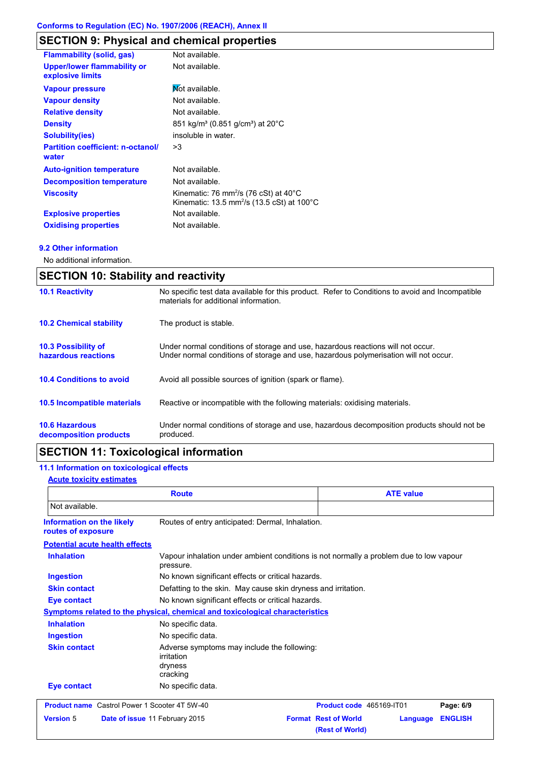# **SECTION 9: Physical and chemical properties**

| <b>Flammability (solid, gas)</b>                       | Not available.                                                                                                                   |
|--------------------------------------------------------|----------------------------------------------------------------------------------------------------------------------------------|
| <b>Upper/lower flammability or</b><br>explosive limits | Not available.                                                                                                                   |
| <b>Vapour pressure</b>                                 | Mot available.                                                                                                                   |
| <b>Vapour density</b>                                  | Not available.                                                                                                                   |
| <b>Relative density</b>                                | Not available.                                                                                                                   |
| <b>Density</b>                                         | 851 kg/m <sup>3</sup> (0.851 g/cm <sup>3</sup> ) at 20°C                                                                         |
| <b>Solubility(ies)</b>                                 | insoluble in water.                                                                                                              |
| <b>Partition coefficient: n-octanol/</b><br>water      | >3                                                                                                                               |
| <b>Auto-ignition temperature</b>                       | Not available.                                                                                                                   |
| <b>Decomposition temperature</b>                       | Not available.                                                                                                                   |
| <b>Viscosity</b>                                       | Kinematic: 76 mm <sup>2</sup> /s (76 cSt) at $40^{\circ}$ C<br>Kinematic: 13.5 mm <sup>2</sup> /s (13.5 cSt) at 100 $^{\circ}$ C |
| <b>Explosive properties</b>                            | Not available.                                                                                                                   |
|                                                        |                                                                                                                                  |
| <b>Oxidising properties</b>                            | Not available.                                                                                                                   |

#### **9.2 Other information**

No additional information.

| <b>SECTION 10: Stability and reactivity</b>       |                                                                                                                                                                         |  |
|---------------------------------------------------|-------------------------------------------------------------------------------------------------------------------------------------------------------------------------|--|
| <b>10.1 Reactivity</b>                            | No specific test data available for this product. Refer to Conditions to avoid and Incompatible<br>materials for additional information.                                |  |
| <b>10.2 Chemical stability</b>                    | The product is stable.                                                                                                                                                  |  |
| <b>10.3 Possibility of</b><br>hazardous reactions | Under normal conditions of storage and use, hazardous reactions will not occur.<br>Under normal conditions of storage and use, hazardous polymerisation will not occur. |  |
| <b>10.4 Conditions to avoid</b>                   | Avoid all possible sources of ignition (spark or flame).                                                                                                                |  |
| <b>10.5 Incompatible materials</b>                | Reactive or incompatible with the following materials: oxidising materials.                                                                                             |  |
| <b>10.6 Hazardous</b><br>decomposition products   | Under normal conditions of storage and use, hazardous decomposition products should not be<br>produced.                                                                 |  |

# **SECTION 11: Toxicological information**

# **11.1 Information on toxicological effects**

### **Acute toxicity estimates**

| <b>Route</b>                                           |                                                                                                     | <b>ATE value</b>                                              |                |  |
|--------------------------------------------------------|-----------------------------------------------------------------------------------------------------|---------------------------------------------------------------|----------------|--|
| Not available.                                         |                                                                                                     |                                                               |                |  |
| <b>Information on the likely</b><br>routes of exposure | Routes of entry anticipated: Dermal, Inhalation.                                                    |                                                               |                |  |
| <b>Potential acute health effects</b>                  |                                                                                                     |                                                               |                |  |
| <b>Inhalation</b>                                      | Vapour inhalation under ambient conditions is not normally a problem due to low vapour<br>pressure. |                                                               |                |  |
| <b>Ingestion</b>                                       | No known significant effects or critical hazards.                                                   |                                                               |                |  |
| <b>Skin contact</b>                                    |                                                                                                     | Defatting to the skin. May cause skin dryness and irritation. |                |  |
| Eye contact                                            | No known significant effects or critical hazards.                                                   |                                                               |                |  |
|                                                        | Symptoms related to the physical, chemical and toxicological characteristics                        |                                                               |                |  |
| <b>Inhalation</b>                                      | No specific data.                                                                                   |                                                               |                |  |
| <b>Ingestion</b>                                       | No specific data.                                                                                   |                                                               |                |  |
| <b>Skin contact</b>                                    | Adverse symptoms may include the following:<br>irritation<br>dryness<br>cracking                    |                                                               |                |  |
| Eye contact                                            | No specific data.                                                                                   |                                                               |                |  |
| <b>Product name</b> Castrol Power 1 Scooter 4T 5W-40   |                                                                                                     | Product code 465169-IT01                                      | Page: 6/9      |  |
| <b>Version 5</b>                                       | Date of issue 11 February 2015                                                                      | <b>Format Rest of World</b><br>Language<br>(Rest of World)    | <b>ENGLISH</b> |  |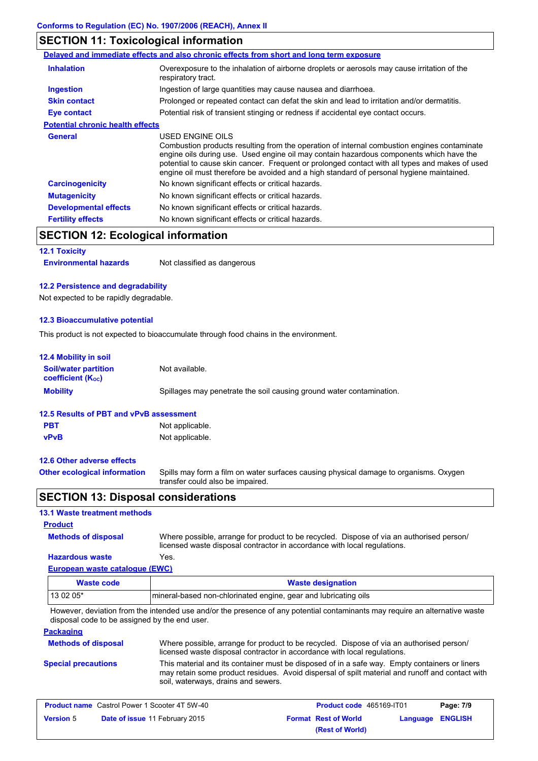# **SECTION 11: Toxicological information**

|                                         | Delayed and immediate effects and also chronic effects from short and long term exposure                                                                                                                                                                                                                                                                                                                 |  |
|-----------------------------------------|----------------------------------------------------------------------------------------------------------------------------------------------------------------------------------------------------------------------------------------------------------------------------------------------------------------------------------------------------------------------------------------------------------|--|
| <b>Inhalation</b>                       | Overexposure to the inhalation of airborne droplets or aerosols may cause irritation of the<br>respiratory tract.                                                                                                                                                                                                                                                                                        |  |
| <b>Ingestion</b>                        | Ingestion of large quantities may cause nausea and diarrhoea.                                                                                                                                                                                                                                                                                                                                            |  |
| <b>Skin contact</b>                     | Prolonged or repeated contact can defat the skin and lead to irritation and/or dermatitis.                                                                                                                                                                                                                                                                                                               |  |
| <b>Eye contact</b>                      | Potential risk of transient stinging or redness if accidental eye contact occurs.                                                                                                                                                                                                                                                                                                                        |  |
| <b>Potential chronic health effects</b> |                                                                                                                                                                                                                                                                                                                                                                                                          |  |
| <b>General</b>                          | USED ENGINE OILS<br>Combustion products resulting from the operation of internal combustion engines contaminate<br>engine oils during use. Used engine oil may contain hazardous components which have the<br>potential to cause skin cancer. Frequent or prolonged contact with all types and makes of used<br>engine oil must therefore be avoided and a high standard of personal hygiene maintained. |  |
| <b>Carcinogenicity</b>                  | No known significant effects or critical hazards.                                                                                                                                                                                                                                                                                                                                                        |  |
| <b>Mutagenicity</b>                     | No known significant effects or critical hazards.                                                                                                                                                                                                                                                                                                                                                        |  |
| <b>Developmental effects</b>            | No known significant effects or critical hazards.                                                                                                                                                                                                                                                                                                                                                        |  |
| <b>Fertility effects</b>                | No known significant effects or critical hazards.                                                                                                                                                                                                                                                                                                                                                        |  |

# **SECTION 12: Ecological information**

## **12.1 Toxicity**

**Environmental hazards** Not classified as dangerous

#### **12.2 Persistence and degradability**

Not expected to be rapidly degradable.

### **12.3 Bioaccumulative potential**

This product is not expected to bioaccumulate through food chains in the environment.

| <b>12.4 Mobility in soil</b>                                         |                                                                                                                           |
|----------------------------------------------------------------------|---------------------------------------------------------------------------------------------------------------------------|
| <b>Soil/water partition</b><br><b>coefficient</b> (K <sub>oc</sub> ) | Not available.                                                                                                            |
| <b>Mobility</b>                                                      | Spillages may penetrate the soil causing ground water contamination.                                                      |
| 12.5 Results of PBT and vPvB assessment                              |                                                                                                                           |
| <b>PBT</b>                                                           | Not applicable.                                                                                                           |
| <b>vPvB</b>                                                          | Not applicable.                                                                                                           |
| 12.6 Other adverse effects                                           |                                                                                                                           |
| <b>Other ecological information</b>                                  | Spills may form a film on water surfaces causing physical damage to organisms. Oxygen<br>transfer could also be impaired. |

# **SECTION 13: Disposal considerations**

## **13.1 Waste treatment methods**

## **Product**

**Methods of disposal**

Where possible, arrange for product to be recycled. Dispose of via an authorised person/ licensed waste disposal contractor in accordance with local regulations.

## **European waste catalogue (EWC) Hazardous waste** Yes.

| Waste code | <b>Waste designation</b>                                         |  |
|------------|------------------------------------------------------------------|--|
| $130205*$  | Imineral-based non-chlorinated engine, gear and lubricating oils |  |

However, deviation from the intended use and/or the presence of any potential contaminants may require an alternative waste disposal code to be assigned by the end user.

### **Packaging**

| <b>Methods of disposal</b> | Where possible, arrange for product to be recycled. Dispose of via an authorised person/<br>licensed waste disposal contractor in accordance with local regulations.                                                                    |
|----------------------------|-----------------------------------------------------------------------------------------------------------------------------------------------------------------------------------------------------------------------------------------|
| <b>Special precautions</b> | This material and its container must be disposed of in a safe way. Empty containers or liners<br>may retain some product residues. Avoid dispersal of spilt material and runoff and contact with<br>soil, waterways, drains and sewers. |

|                  | <b>Product name</b> Castrol Power 1 Scooter 4T 5W-40 | <b>Product code</b> 465169-IT01                        | Page: 7/9 |
|------------------|------------------------------------------------------|--------------------------------------------------------|-----------|
| <b>Version 5</b> | <b>Date of issue 11 February 2015</b>                | <b>Format Rest of World</b><br><b>Language ENGLISH</b> |           |
|                  |                                                      | (Rest of World)                                        |           |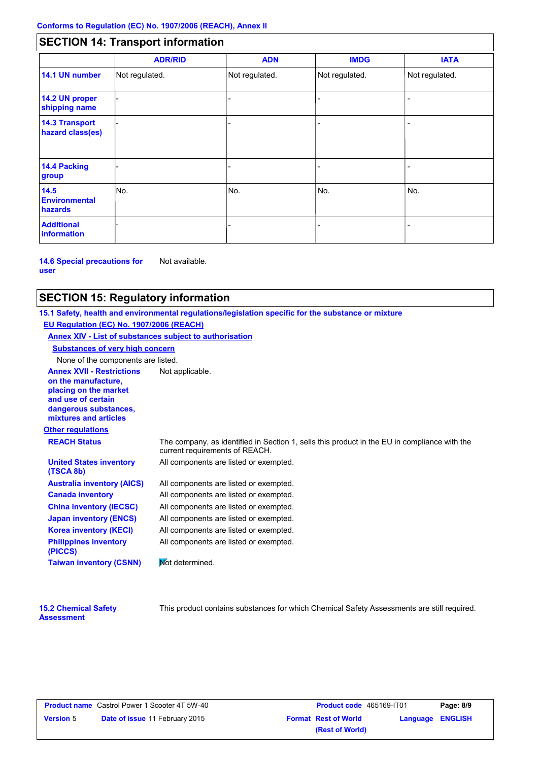# **SECTION 14: Transport information**

|                                           | <b>ADR/RID</b> | <b>ADN</b>     | <b>IMDG</b>    | <b>IATA</b>    |
|-------------------------------------------|----------------|----------------|----------------|----------------|
| 14.1 UN number                            | Not regulated. | Not regulated. | Not regulated. | Not regulated. |
| 14.2 UN proper<br>shipping name           |                |                | ۳              |                |
| <b>14.3 Transport</b><br>hazard class(es) |                |                |                |                |
| <b>14.4 Packing</b><br>group              |                |                |                |                |
| 14.5<br><b>Environmental</b><br>hazards   | No.            | No.            | No.            | No.            |
| <b>Additional</b><br>information          |                |                |                |                |

**14.6 Special precautions for user** Not available.

# **SECTION 15: Regulatory information**

**Other regulations Annex XVII - Restrictions** Not applicable. **on the manufacture, placing on the market and use of certain dangerous substances, mixtures and articles REACH Status** The company, as identified in Section 1, sells this product in the EU in compliance with the current requirements of REACH. **15.1 Safety, health and environmental regulations/legislation specific for the substance or mixture EU Regulation (EC) No. 1907/2006 (REACH) Annex XIV - List of substances subject to authorisation Substances of very high concern** None of the components are listed. All components are listed or exempted. All components are listed or exempted. All components are listed or exempted. All components are listed or exempted. All components are listed or exempted. All components are listed or exempted. All components are listed or exempted. **United States inventory (TSCA 8b) Australia inventory (AICS) Canada inventory China inventory (IECSC) Japan inventory (ENCS) Korea inventory (KECI) Philippines inventory (PICCS) Taiwan inventory (CSNN)** Not determined.

**15.2 Chemical Safety Assessment**

This product contains substances for which Chemical Safety Assessments are still required.

|                  | <b>Product name</b> Castrol Power 1 Scooter 4T 5W-40 |
|------------------|------------------------------------------------------|
| <b>Version</b> 5 | Date of issue 11 February 2015                       |